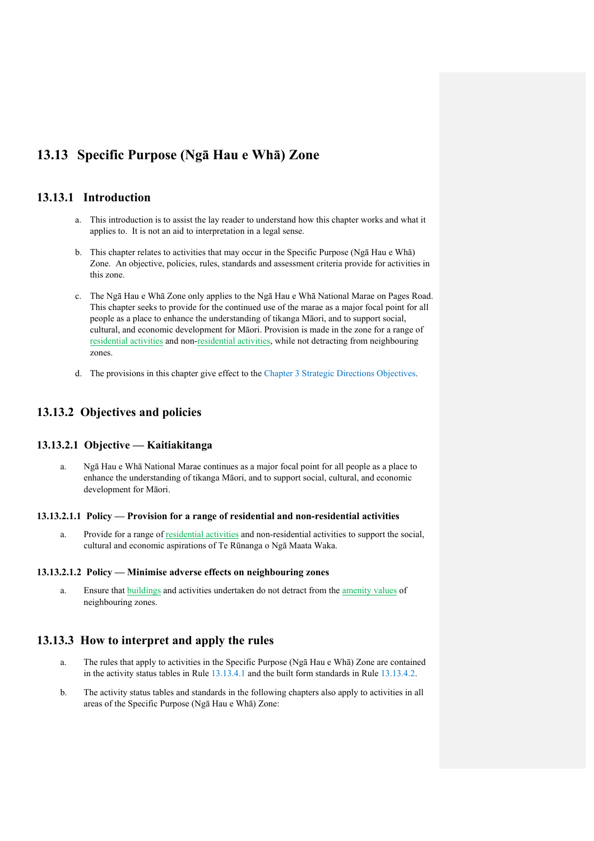# **13.13 Specific Purpose (Ngā Hau e Whā) Zone**

# **13.13.1 Introduction**

- a. This introduction is to assist the lay reader to understand how this chapter works and what it applies to. It is not an aid to interpretation in a legal sense.
- b. This chapter relates to activities that may occur in the Specific Purpose (Ngā Hau e Whā) Zone. An objective, policies, rules, standards and assessment criteria provide for activities in this zone.
- c. The Ngā Hau e Whā Zone only applies to the Ngā Hau e Whā National Marae on Pages Road. This chapter seeks to provide for the continued use of the marae as a major focal point for all people as a place to enhance the understanding of tikanga Māori, and to support social, cultural, and economic development for Māori. Provision is made in the zone for a range of residential activities and non-residential activities, while not detracting from neighbouring zones.
- d. The provisions in this chapter give effect to the Chapter 3 Strategic Directions Objectives.

# **13.13.2 Objectives and policies**

### **13.13.2.1 Objective — Kaitiakitanga**

a. Ngā Hau e Whā National Marae continues as a major focal point for all people as a place to enhance the understanding of tikanga Māori, and to support social, cultural, and economic development for Māori.

#### **13.13.2.1.1 Policy — Provision for a range of residential and non-residential activities**

a. Provide for a range of residential activities and non-residential activities to support the social, cultural and economic aspirations of Te Rūnanga o Ngā Maata Waka.

#### **13.13.2.1.2 Policy — Minimise adverse effects on neighbouring zones**

a. Ensure that buildings and activities undertaken do not detract from the amenity values of neighbouring zones.

## **13.13.3 How to interpret and apply the rules**

- a. The rules that apply to activities in the Specific Purpose (Ngā Hau e Whā) Zone are contained in the activity status tables in Rule 13.13.4.1 and the built form standards in Rule 13.13.4.2.
- b. The activity status tables and standards in the following chapters also apply to activities in all areas of the Specific Purpose (Ngā Hau e Whā) Zone: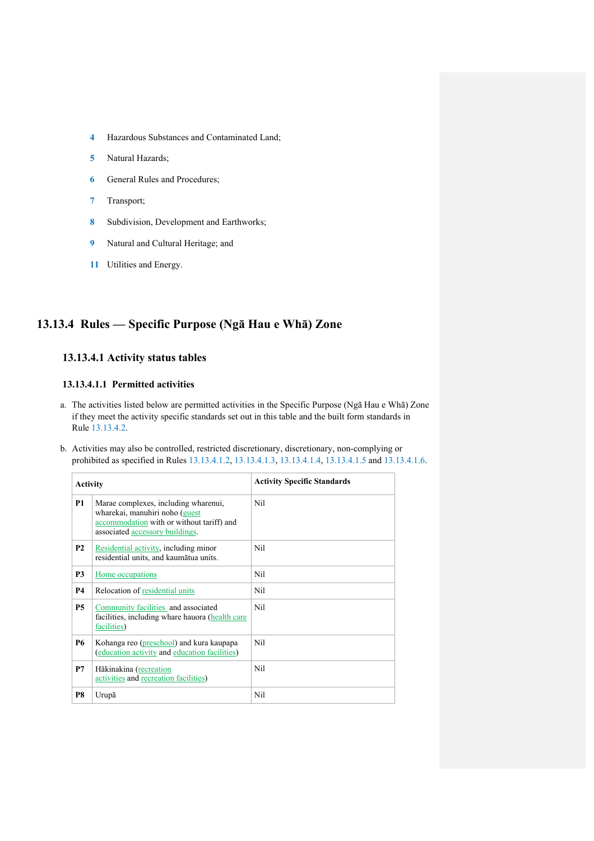- **4** Hazardous Substances and Contaminated Land;
- **5** Natural Hazards;
- **6** General Rules and Procedures;
- **7** Transport;
- **8** Subdivision, Development and Earthworks;
- **9** Natural and Cultural Heritage; and
- **11** Utilities and Energy.

# **13.13.4 Rules — Specific Purpose (Ngā Hau e Whā) Zone**

# **13.13.4.1 Activity status tables**

#### **13.13.4.1.1 Permitted activities**

- a. The activities listed below are permitted activities in the Specific Purpose (Ngā Hau e Whā) Zone if they meet the activity specific standards set out in this table and the built form standards in Rule 13.13.4.2.
- b. Activities may also be controlled, restricted discretionary, discretionary, non-complying or prohibited as specified in Rules 13.13.4.1.2, 13.13.4.1.3, 13.13.4.1.4, 13.13.4.1.5 and 13.13.4.1.6.

| <b>Activity</b> |                                                                                                                                                        | <b>Activity Specific Standards</b> |
|-----------------|--------------------------------------------------------------------------------------------------------------------------------------------------------|------------------------------------|
| <b>P1</b>       | Marae complexes, including wharenui,<br>wharekai, manuhiri noho (guest<br>accommodation with or without tariff) and<br>associated accessory buildings. | Nil                                |
| <b>P2</b>       | Residential activity, including minor<br>residential units, and kaumātua units.                                                                        | Nil                                |
| P3              | Home occupations                                                                                                                                       | Nil                                |
| <b>P4</b>       | Relocation of residential units                                                                                                                        | Nil                                |
| <b>P5</b>       | Community facilities and associated<br>facilities, including whare hauora (health care<br>facilities)                                                  | Nil                                |
| <b>P6</b>       | Kohanga reo (preschool) and kura kaupapa<br>(education activity and education facilities)                                                              | Nil                                |
| P7              | Hākinakina (recreation<br>activities and recreation facilities)                                                                                        | Nil                                |
| P8              | Urupā                                                                                                                                                  | Nil                                |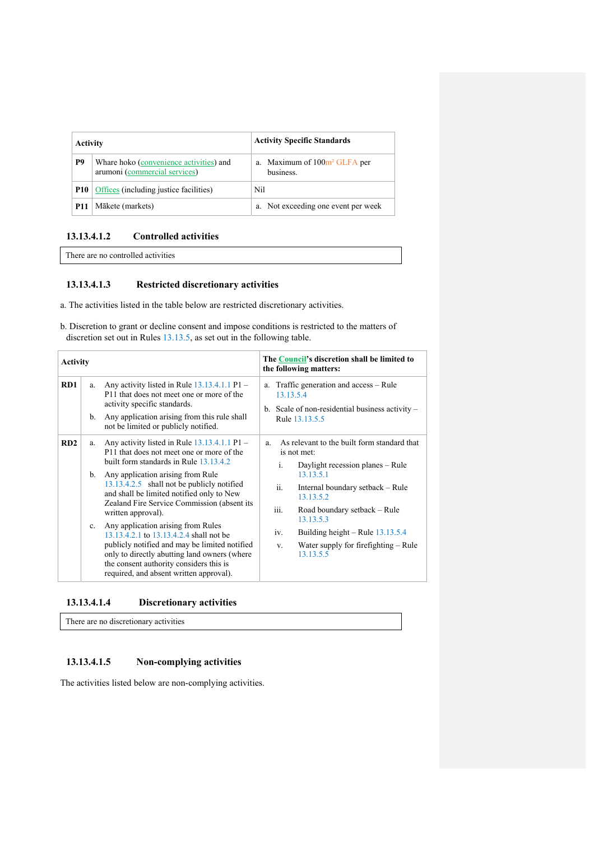| <b>Activity</b> |                                                                          | <b>Activity Specific Standards</b>                    |
|-----------------|--------------------------------------------------------------------------|-------------------------------------------------------|
| P9              | Whare hoko (convenience activities) and<br>arumoni (commercial services) | a. Maximum of 100m <sup>2</sup> GLFA per<br>business. |
|                 | <b>P10</b>   Offices (including justice facilities)                      | Nil                                                   |
| <b>P11</b>      | Mākete (markets)                                                         | a. Not exceeding one event per week                   |

# **13.13.4.1.2 Controlled activities**

There are no controlled activities

# **13.13.4.1.3 Restricted discretionary activities**

- a. The activities listed in the table below are restricted discretionary activities.
- b. Discretion to grant or decline consent and impose conditions is restricted to the matters of discretion set out in Rules 13.13.5, as set out in the following table.

| <b>Activity</b> |           |                                                                                                                                                                                                                                                                                            | The Council's discretion shall be limited to<br>the following matters:                                                                                         |
|-----------------|-----------|--------------------------------------------------------------------------------------------------------------------------------------------------------------------------------------------------------------------------------------------------------------------------------------------|----------------------------------------------------------------------------------------------------------------------------------------------------------------|
| RD1             | a.<br>b.  | Any activity listed in Rule $13.13.4.1.1$ P1 –<br>P11 that does not meet one or more of the<br>activity specific standards.<br>Any application arising from this rule shall<br>not be limited or publicly notified.                                                                        | Traffic generation and access – Rule<br>a.<br>13.13.5.4<br>b. Scale of non-residential business activity $-$<br>Rule 13.13.5.5                                 |
| RD2             | a.        | Any activity listed in Rule $13.13.4.1.1$ P1 –<br>P11 that does not meet one or more of the<br>built form standards in Rule 13.13.4.2                                                                                                                                                      | As relevant to the built form standard that<br>a.<br>is not met:                                                                                               |
|                 |           | b. Any application arising from Rule<br>13.13.4.2.5 shall not be publicly notified<br>and shall be limited notified only to New<br>Zealand Fire Service Commission (absent its                                                                                                             | i.<br>Daylight recession planes – Rule<br>13.13.5.1<br>ii.<br>Internal boundary setback - Rule<br>13.13.5.2                                                    |
|                 | $c_{\rm}$ | written approval).<br>Any application arising from Rules<br>13.13.4.2.1 to 13.13.4.2.4 shall not be<br>publicly notified and may be limited notified<br>only to directly abutting land owners (where<br>the consent authority considers this is<br>required, and absent written approval). | Road boundary setback – Rule<br>111.<br>13.13.5.3<br>Building height – Rule $13.13.5.4$<br>iv.<br>Water supply for firefighting – Rule<br>$V_{-}$<br>13.13.5.5 |

### **13.13.4.1.4 Discretionary activities**

There are no discretionary activities

# **13.13.4.1.5 Non-complying activities**

The activities listed below are non-complying activities.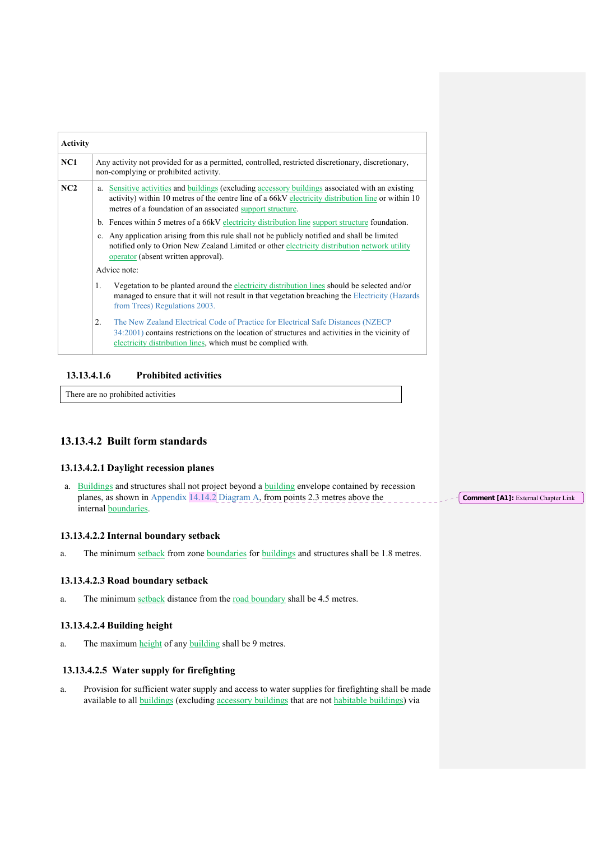| <b>Activity</b> |                                                                                                                                                                                                                                                                         |  |  |
|-----------------|-------------------------------------------------------------------------------------------------------------------------------------------------------------------------------------------------------------------------------------------------------------------------|--|--|
| NC1             | Any activity not provided for as a permitted, controlled, restricted discretionary, discretionary,<br>non-complying or prohibited activity.                                                                                                                             |  |  |
| NC2             | Sensitive activities and buildings (excluding accessory buildings associated with an existing<br>a.<br>activity) within 10 metres of the centre line of a 66kV electricity distribution line or within 10<br>metres of a foundation of an associated support structure. |  |  |
|                 | b. Fences within 5 metres of a 66kV electricity distribution line support structure foundation.                                                                                                                                                                         |  |  |
|                 | c. Any application arising from this rule shall not be publicly notified and shall be limited<br>notified only to Orion New Zealand Limited or other electricity distribution network utility<br>operator (absent written approval).                                    |  |  |
|                 | Advice note:                                                                                                                                                                                                                                                            |  |  |
|                 | Vegetation to be planted around the electricity distribution lines should be selected and/or<br>1.<br>managed to ensure that it will not result in that vegetation breaching the Electricity (Hazards<br>from Trees) Regulations 2003.                                  |  |  |
|                 | 2.<br>The New Zealand Electrical Code of Practice for Electrical Safe Distances (NZECP)<br>34:2001) contains restrictions on the location of structures and activities in the vicinity of<br>electricity distribution lines, which must be complied with.               |  |  |

### **13.13.4.1.6 Prohibited activities**

There are no prohibited activities

# **13.13.4.2 Built form standards**

#### **13.13.4.2.1 Daylight recession planes**

a. Buildings and structures shall not project beyond a building envelope contained by recession planes, as shown in Appendix  $14.14.2$  Diagram A, from points 2.3 metres above the internal boundaries.

#### **13.13.4.2.2 Internal boundary setback**

a. The minimum setback from zone boundaries for buildings and structures shall be 1.8 metres.

#### **13.13.4.2.3 Road boundary setback**

a. The minimum setback distance from the road boundary shall be 4.5 metres.

#### **13.13.4.2.4 Building height**

a. The maximum height of any building shall be 9 metres.

### **13.13.4.2.5 Water supply for firefighting**

a. Provision for sufficient water supply and access to water supplies for firefighting shall be made available to all buildings (excluding accessory buildings that are not habitable buildings) via

**Comment [A1]:** External Chapter Link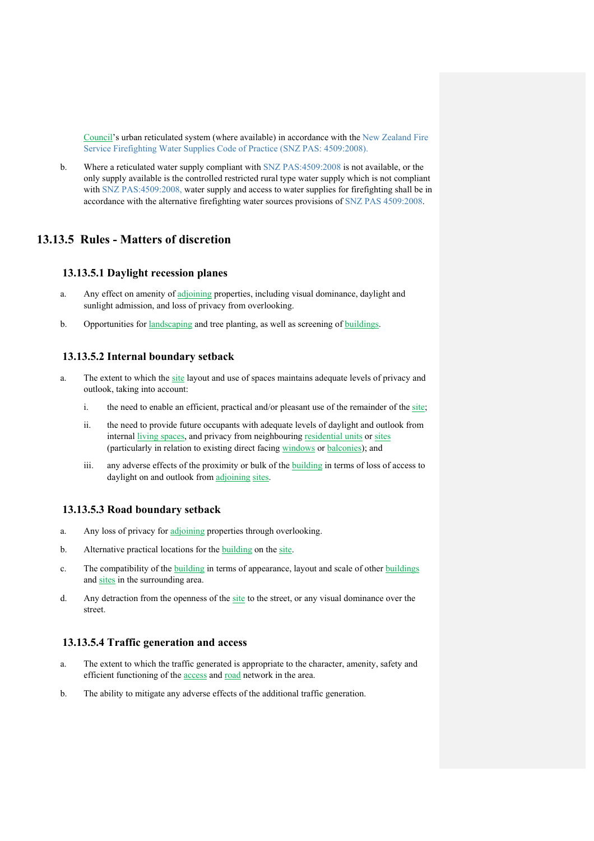Council's urban reticulated system (where available) in accordance with the New Zealand Fire Service Firefighting Water Supplies Code of Practice (SNZ PAS: 4509:2008).

b. Where a reticulated water supply compliant with SNZ PAS:4509:2008 is not available, or the only supply available is the controlled restricted rural type water supply which is not compliant with SNZ PAS:4509:2008, water supply and access to water supplies for firefighting shall be in accordance with the alternative firefighting water sources provisions of SNZ PAS 4509:2008.

# **13.13.5 Rules - Matters of discretion**

### **13.13.5.1 Daylight recession planes**

- a. Any effect on amenity of adjoining properties, including visual dominance, daylight and sunlight admission, and loss of privacy from overlooking.
- b. Opportunities for landscaping and tree planting, as well as screening of buildings.

#### **13.13.5.2 Internal boundary setback**

- a. The extent to which the site layout and use of spaces maintains adequate levels of privacy and outlook, taking into account:
	- i. the need to enable an efficient, practical and/or pleasant use of the remainder of the site;
	- ii. the need to provide future occupants with adequate levels of daylight and outlook from internal living spaces, and privacy from neighbouring residential units or sites (particularly in relation to existing direct facing windows or balconies); and
	- iii. any adverse effects of the proximity or bulk of the building in terms of loss of access to daylight on and outlook from adjoining sites.

#### **13.13.5.3 Road boundary setback**

- a. Any loss of privacy for adjoining properties through overlooking.
- b. Alternative practical locations for the building on the site.
- c. The compatibility of the building in terms of appearance, layout and scale of other buildings and sites in the surrounding area.
- d. Any detraction from the openness of the site to the street, or any visual dominance over the street.

### **13.13.5.4 Traffic generation and access**

- a. The extent to which the traffic generated is appropriate to the character, amenity, safety and efficient functioning of the access and road network in the area.
- b. The ability to mitigate any adverse effects of the additional traffic generation.